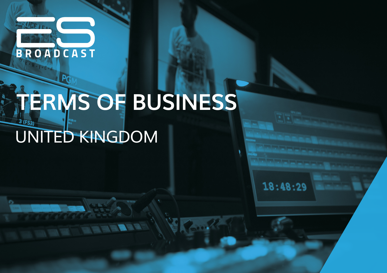

# **TERMS OF BUSINESS**  $3(FS3)$ UNITED KINGDOM

 $18:48:29$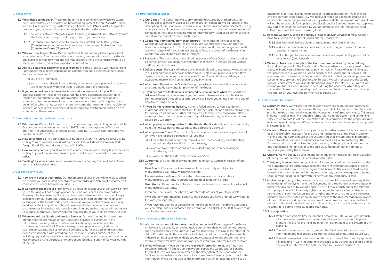#### **1 These terms**

- **1.1 What these terms cover.** These are the terms and conditions on which we supply new, used and/or ex-demonstration broadcast equipment to you (**"Goods"**). These terms will also apply to any systems integration services (**"Services"**) we agree to provide to you, where such services are supplied with the Goods to:
	- **1.1.1** deliver, install and integrate Goods (including hardware) and software to form the System, as more particularly specified in your order; and
	- **1.1.2** use reasonable endeavours to provide the installed and tested System (**Completion**) on or before the completion date, as specified in your order (**Completion Date**), (**"Services"**).
- **1.2 Why you should read them.** Please read these terms carefully before you submit your order to us. These terms tell you who we are, how we will provide any Goods and Services to you, how you and we may change or end the contract, what to do if there is a problem, and other important information.
- **1.3 Are you a business customer or a consumer?** In some areas you will have different rights under these terms depending on whether you are a business or consumer. You are a consumer if:
	- (a) you are an individual.
	- (b) you are buying Goods from us wholly or mainly for your personal use (not for use in connection with your trade, business, craft or profession).
- **1.4 If you are a business customer this is our entire agreement with you.** If you are a business customer these terms constitute the entire agreement between us in relation to your purchase. You acknowledge that you have not relied on any statement, promise, representation, assurance or warranty made or given by or on behalf of us which is not set out in these terms and that you shall have no claim for innocent or negligent misrepresentation or negligent misstatement based on any statement in these terms.

# **2 Information about us and how to contact us**

- **2.1 Who we are.** We are ES Broadcast Ltd. a company registered in England and Wales. Our company registration number is 13097814 and our registered office is at 4th Floor, The Anchorage, 34 Bridge Street, Reading, RG1 2LU. Our registered VAT number is GB125 5023 50.
- **2.2 How to contact us.** You can contact us by calling us on +44 (0)1923 650 080 or by writing to us at sales@esbroadcast.com or at Unit 34, Orbital 25 Business Park, Dwight Road, Watford, Hertfordshire, WD18 9DA.
- **2.3 How we may contact you.** If we have to contact you we will do so by telephone or by writing to you at the email address or postal address you provided to us in your order.
- **2.4 "Writing" includes emails.** When we use the words "writing" or "written" in these terms, this includes emails.

#### **3 Our contract with you**

- **3.1 How we will accept your order.** Our acceptance of your order will take place when we provide you with written acceptance of your order at which point a contract will come into existence between you and us.
- **3.2 If we cannot accept your order.** If we are unable to accept your order, we will inform you of this and will not charge you for the Goods or Services you have ordered. This might be because any Goods you have ordered are out of stock or no longer available from our suppliers, because we have identified an error in the price or description of the Goods and Services, because we are unable to meet a delivery deadline or the Completion Date you have specified or because of unforeseen circumstances beyond our reasonable control. In any such cases, we will endeavour to suggest alternative Goods which you may decide, at your sole discretion, to order.
- **3.3 Where we sell our Goods and provide Services.** Our website and brochures are primarily for the promotion of our Goods and Services to customers in the UK. However, we may sell and deliver our Goods and provide Services to customers outside of the UK where we expressly agree in writing to do so. In such circumstances, the customer will be liable to us for the additional costs and expenses associated with providing the Goods and Services outside of the UK, including any additional delivery costs, taxes, charges, levies, assessments and other fees imposed on the purchase or import of any Goods or supply of Services outside of the UK.

## **4 Terms relevant to Goods**

- **4.1 Our Goods.** The Goods that we supply are manufactured by third parties and may be supplied in new, used or ex-demonstration condition. We will specify in the description of the Goods on our website, in our brochures and advertisements, in any other promotional media or platforms we may use and in our written quotation the condition of the Goods (including whether they are new, used or ex-demonstration), as well as the manufacturer of such Goods.
- **4.2 Goods may vary slightly from their pictures.** The images of the Goods on our website and/or in our brochures are for illustrative purposes only. Although we have made every effort to display the colours accurately, we cannot guarantee that a device's display of the colours accurately reflects the colour of the Goods. Your Goods may vary slightly from those images.
- **4.3 Packaging.** The packaging of the Goods, especially of any Goods sold in a used or ex-demonstration condition, may vary from that shown in images on our website and/or in our brochures.
- **4.4 Delivery costs.** The costs of delivery will be as displayed to you on our website and/or in our brochure or as otherwise notified to you before you place your order. If we agree in writing to deliver Goods outside of the UK, any additional delivery costs associated therewith will be notified to you in writing.
- **4.5 When we will provide the Goods.** During the order process we will provide you with an estimated delivery date for provision of the Goods.
- **4.6 If you are not available at your requested delivery address when the Goods are delivered.** If no one is available at your address to take delivery and the Goods cannot be posted through your letterbox, we will leave you a note informing you of how to rearrange delivery.
- **4.7 If you do not re-arrange delivery.** If after a failed delivery to you, you do not re-arrange delivery we will contact you for further instructions and may charge you for storage costs and any further delivery costs. If, despite our reasonable efforts, we are unable to contact you or re-arrange delivery we may end the contract and clause 10.2 will apply.
- **4.8 When you become responsible for the Goods.** The Goods will be your responsibility from the time we deliver the Goods to the address you gave us.
- **4.9 When you own Goods.** You own the Goods once we have received payment in full. Until we have received payment in full, you must:
	- **4.9.1** store the Goods separately from all other Goods held by you so that they remain readily identifiable as our property;
	- **4.9.2** not remove, deface or obscure any identifying mark on or relating to the Goods; and
	- **4.9.3** maintain the Goods in satisfactory condition.
- **4.10 Guarantee.** We offer the following guarantee to our customers in respect of our Goods:

**New Goods:** One year back-to-base and labour warranty or subject to manufacturer's warranty, whichever is longer

**Ex-demonstration Goods:** Six months unless an extended back-to-back manufacturer's warranty is purchased and applied at point of sale

**Used Goods:** Three months unless you have purchased an extended back-to-back manufacturer's warranty.

If you are a consumer, the above guarantees do not affect your legal rights.

If we offer any guarantee in relation to the Services you have ordered, we will agree this with you separately.

If you have any queries or would like to make a claim under the above guarantee, you can telephone our customer service team on +44 (0)1923 650 080 or write to us at sales@esbroadcast.com.

## **5 Terms relevant to Goods and Services**

- **5.1 We are not responsible for delays outside our control.** If our supply of the Goods or Services is delayed by an event outside our control then we will contact you as soon as possible to let you know and we will take steps to minimise the effect of the delay. Provided we do this we will not be liable for delays caused by the event, but if there is a risk of substantial delay you may contact us to end the contract and receive a refund for any Goods and/or Services you have paid for but not received.
- **5.2 What will happen if you do not give required information to us.** We may need certain information from you so that we can supply the Goods and/or Services to you. If so, this will have been stated in the description of the Goods and/or Services on our website and/or in our brochures. We will contact you to ask for this information. If you do not give us this information within a reasonable time of us

asking for it, or if you give us incomplete or incorrect information, we may either end the contract (and clause 13.2 will apply) or make an additional charge of a reasonable sum to compensate us for any extra work that is required as a result. We will not be responsible for supplying the Goods and/or Services late or not supplying any part of them if this is caused by you not giving us the information we need within a reasonable time of us asking for it.

- **5.3 Reasons we may suspend the supply of Goods and/or Services to you.** We may have to suspend the supply of Goods and/or Services to:
	- **5.3.1** deal with technical problems or make minor technical changes;
	- **5.3.2** update the Goods and/or Services to reflect changes in relevant laws and regulatory requirements;
	- **5.3.3** make changes to the Goods and/or Services as requested by you or notified by us to you (see clause 6).

## **5.4 We may also suspend supply of the Goods and/or Services if you do not pay.**

If you do not pay us for the Goods and/or Services when you are supposed to (see clause 9.4) and you still do not make payment within 7 days of us reminding you that payment is due, we may suspend supply of the Goods and/or Services until you have paid us the outstanding amounts. We will contact you to tell you we are suspending supply of the Goods and/or Services. We will not suspend the Goods and/or Services where you dispute the unpaid invoice (see clause 9.7). We will not charge you for the Goods and/or Services during the period for which they are suspended. As well as suspending the Goods and/or Services we can also charge you interest on your overdue payments (see clause 9.6).

#### **6 Terms relevant to Services**

- **6.1 Documentation.** We will provide the relevant operating manuals, user instruction manuals (manuals may be provided through website links), technical literature and all other related materials (including the licence terms referred to in clause 7.4 below) in human- and/or machine-readable forms relating to the System and containing sufficient up-to-date (as at the Completion Date) information for the proper use and maintenance of the System (Documentation). Such Documentation may be supplied in electronic form.
- **6.2 Copies of Documentation.** You may make such further copies of the Documentation as are reasonably necessary for the use and maintenance of the System and for training your personnel in use of the System. You shall ensure that all proprietary notices (whether ours or a third party's) are reproduced in any such copy. The Documentation is, and shall remain, our property or the property of our licensors and you acquire no rights in or to the said Documentation other than those expressly granted by these terms.
- **6.3 Cabling.** We will supply all cabling and other equipment needed for the installation of the System at the place as detailed in order (Site).
- **6.4 Third party licences.** We shall provide the System and configurations to you under the standard licence terms provided by the relevant third parties, copies of which shall be provided to you, and you agree to be bound to the relevant third parties by such licence terms. You will be liable to us for any loss or damage we suffer as a result of your failure to comply with the terms of any third-party licence.
- **6.5 Intellectual property rights.** We or our licensors own all intellectual property rights in the design of the System and the Documentation. You hereby acknowledge and agree that any breach by you of clause 7.2 or 7.4 may breach our or the relevant third party's intellectual property rights. You agree to use your best endeavours not to breach such intellectual property rights and to ensure that your employees, agents and representatives who are given access to the Documentation are aware of the confidential and proprietary nature of the information contained within it and are under similar obligations not to do anything that might breach our or the relevant third party's intellectual property rights.

## **6.6 Site preparation.**

- **6.6.1** Within a reasonable time before the Completion Date, we will provide such information and assistance to you as may be necessary to enable you to prepare the Site for the installation of the relevant item of the System or any part of it.
- **6.6.2** You will, at your own expense, prepare the Site in accordance with the information and reasonable time frames provided by us under clause 7.6.1.
- **6.6.3** You will be responsible for ensuring that each item of Electronic Equipmentis installed and in working order and available to us as soon as possible and in any event no later than the date specified by us under clause 7.6.1.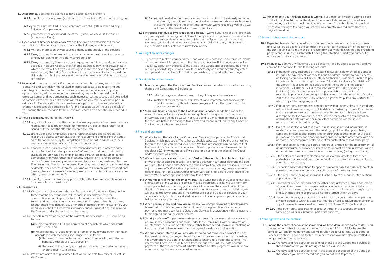**6.7 Acceptance.** You shall be deemed to have accepted the System if:

- **6.7.1** completion has occurred (whether on the Completion Date or otherwise); and
- **6.7.2** you have not notified us of any problem with the System within 14 days following Completion; or
- **6.7.3** you commence operational use of the System, whichever is the earlier (Acceptance Date).
- **6.8 Extensions of time for Completion**. We shall be given an extension of time for Completion of the Services if one or more of the following events occurs:
	- **6.8.1** Any act or omission by you causes a delay to the supply of the Services;
	- **6.8.2** Delay is caused in whole or in part by an action or omission of you or your employees, agents or third-party contractors; or
	- **6.8.3** Delay is caused by Site or Electronic Equipment not being ready by the dates specified in clause 7.5 or such other date as agreed in writing between us in which case we will notify you in writing no more than seven (7) days after the event causing the delay. Such notice will specify the event which caused the delay, the length of the delay and the resulting extension of time to which we are entitled.
- **6.9 Increased costs due to delay.** If we can demonstrate that a delay exists under clause 7.8 and such delay has resulted in increased costs to us in carrying out our obligations under the contract, we may increase the price (and any other applicable charges) by an amount not exceeding any such increased cost. If you are a consumer and we demonstrate such increased cost to you, you will be entitled to contact us to end the contract and we will refund any money you have paid in advance for Goods and/or Services we have not provided but we may deduct or charge you reasonable compensation for the net costs we will incur as a result of you ending the contract and for any Goods or Services we have already provided to you.

#### **6.10 Your obligations.** You agree that you will:

- **6.10.1** not, without our prior written consent, allow any person other than one of our representatives to modify, repair or maintain any part of the System for a period of three months after the Acceptance Date;
- **6.10.2** grant us and our employees, agents, representatives and contractors all reasonable access to your Site, Electronic Equipment and existing system(s) so as to not cause delay to Completion and so as not to cause us to incur extra costs as a result of such failure to arant access:
- **6.10.3** cooperate with us in any manner we reasonably require in order to carry out the Services, including provision of information and data, and making available suitably qualified employees and contractors and, subject to our compliance with your reasonable security requirements, provide direct or remote (as we reasonably request) access to your existing systems, Electronic Equipment and Site for the purpose of carrying out diagnostics and correction of defects. If our access is remote, you and we will comply with any additional (reasonable) requirements for security and encryption techniques or software which you or we may specify;
- **6.10.4** comply, as soon as reasonably practicable, with all our reasonable requests for information or assistance.

#### **6.11 Warranties.**

- **6.11.1** We warrant and represent that the System at the Acceptance Date, and for three months after that date, will perform in accordance with the specification set out in your order in all material respects, unless the failure to do so is due to any act or omission of anyone other than us. Any unauthorised modification, use or improper installation of the System by you or on your behalf will render this warranty and our obligations in relation to the Services under the contract null and void.
- **6.11.2** The sole remedy for breach of the warranty under clause 7.11.1 shall be as follows:
	- **(a)** Subject to clause 7.11.3, the correction of any defects which constitute such breach; and
	- **(b)** Where the failure is due to an act or omission by anyone other than us, in accordance with the terms (including time limits) of:
		- **(i)** the relevant manufacturers' warranties from which the Customer benefits under clause 4.10 above; or
		- **(ii)** the relevant third-party warranties from which the Customer benefits under clause 7.11.4 below.
- **6.11.3** We do not warrant or guarantee that we will be able to rectify all defects in the System.
- **6.11.4** You acknowledge that the only warranties in relation to third-party software or the supply thereof are those contained in the relevant third-party licence of the same, and that to the extent that any such warranties are given to us, we will pass on the benefit of such warranties to you.
- **6.12 Increased cost due to investigation of defects.** If we visit your Site or other premises at your request to investigate a failure of the System, which proves in our reasonable opinion not to have been caused by a defect in the System, we will be entitled to charge you for the time we have spent on such visit on a time, materials and expenses basis at our standard rates then in force.

#### **7. Your right to make changes**

**7.1** If you wish to make a change to the Goods and/or Services you have ordered please contact us. We will let you know if the change is possible. If it is possible we will let you know about any changes to the price of the Goods and/or Services, the timing of supply or anything else which would be necessary as a result of your requested change and ask you to confirm hether you wish to go ahead with the change.

#### **8. Our rights to make changes**

**8.1 Minor changes to the Goods and/or Services.** We or the relevant manufacturer may change the Goods and/or Services to:

**8.1.1** reflect changes in relevant laws and regulatory requirements; and

- **8.1.2** implement minor technical adjustments and improvements, for example to address a security threat. These changes will not affect your use of the Goods and/or Services.
- **8.2 More significant changes to the Goods and/or Services.** In addition, we or the relevant manufacturer may make more significant changes to the Goods and/ or Services, but if we do so we will notify you and you may then contact us to end the contract before the changes take effect and receive a refund for any Goods or Services paid for but not received.

## **9 Price and payment**

- **9.1 Where to find the price for the Goods and Services.** The price of the Goods and Services (which includes VAT or other applicable sales tax) will be the price notified to you at the time you placed your order. We take reasonable care to ensure that the price of the Goods and/or Services advised to you is correct. However please see clause 9.3 for what happens if we discover an error in the price of the Goods and/or Services you order.
- **9.2 We will pass on changes in the rate of VAT or other applicable sales tax.** If the rate of VAT or other applicable sales tax changes between your order date and the date we supply the Goods and/or Services or the Completion Date (as applicable) , we will adjust the rate of VAT or other applicable sales tax that you pay, unless you have already paid for the relevant Goods and/or Services in full before the change in the rate of VAT or other applicable sales tax takes effect.
- **9.3 What happens if we got the price wrong.** It is always possible that, despite our best efforts, some of the Goods or Services may be incorrectly priced. We will normally check prices before accepting your order so that, where the correct price of the Goods or Services at your order date is less than our stated price on such date, we will charge the lower amount. If the correct price of the Goods or Services at your order date is higher than our stated price, we will contact you for your instructions before we accept your order.
- **9.4 When you must pay and how you must pay.** We accept payment by bank transfer, banker's draft, cash, confirmed letter of credit and agreed finance company payment. You must pay for the Goods and Services in accordance with the payment terms agreed during the order process.
- **9.5 Our right of set-off if you are a business customer.** If you are a business customer you must pay all amounts due to us under these terms in full without any set-off, counterclaim, deduction or withholding (other than any deduction or withholding of tax as required by law) unless otherwise agreed in advance and in writing.
- **9.6 We can charge interest if you pay late.** If you do not make any payment to us by the due date we may charge interest to you on the overdue amount at the rate of 4% a year above the Bank of England's base lending rate from time to time. This interest shall accrue on a daily basis from the due date until the date of actual payment of the overdue amount, whether before or after judgment. You must pay us interest together with any overdue amount.

**9.7 What to do if you think an invoice is wrong.** If you think an invoice is wrong please contact us within 14 days of the date of the invoice to let us know. You will not have to pay any interest until the dispute is resolved. Once the dispute is resolved we reserve the right to charge you interest on correctly invoiced sums from the original due date.

#### **10 Mutual rights to end the contract**

- **10.1 Repeated breach.** Both you (whether you are a consumer or a business customer and we will be able to end the contract if the other party breaks any of the terms of the contract in such a manner as to reasonably justify the opinion that the breaching party's conduct is inconsistent with it having the intention or ability to carry out its obligations under the contract.
- **10.2 Insolvency.** Both you (whether you are a consumer or a business customer) and we can end the contract for the following reasons:
	- **10.2.1** If the other party suspends, or threatens to suspend, payment of its debts or is unable to pay its debts as they fall due or admits inability to pay its debts or: (being a company or limited liability partnership) is deemed unable to pay its debts within the meaning of section 123 of the Insolvency Act 1986 as if the words "it is proved to the satisfaction of the court" did not appear in sections 123(1)(e) or 123(2) of the Insolvency Act 1986; or (being an individual) is deemed either unable to pay its debts or as having no reasonable prospect of so doing, in either case, within the meaning of section 268 of the Insolvency Act 1986; or (being a partnership) has any partner to whom any of the foregoing apply;
	- **10.2.2** If the other party commences negotiations with all or any class of its creditors with a view to rescheduling any of its debts, or makes a proposal for or enters into any compromise or arrangement with its creditors other than (being a company) for the sole purpose of a scheme for a solvent amalgamation of that other party with one or more other companies or the solvent reconstruction of that other party;
	- **10.2.3** If a petition is filed, a notice is given, a resolution is passed, or an order is made, for or in connection with the winding up of the other party (being a company, limited liability partnership or partnership) other than for the sole purpose of a scheme for a solvent amalgamation of that other party with one or more other companies or the solvent reconstruction of that other party;
	- **10.2.4** If an application is made to court, or an order is made, for the appointment of an administrator, or a notice of intention to appoint an administrator is given or an administrator is appointed, over the other party (being a company);
	- **10.2.5** If the holder of a qualifying floating charge over the assets of that other party (being a company) has become entitled to appoint or has appointed an administrative receiver;
	- **10.2.6** If a person becomes entitled to appoint a receiver over the assets of the other party or a receiver is appointed over the assets of the other party;
	- **10.2.7** If the other party (being an individual) is the subject of a bankruptcy petition, application or order;
	- **10.2.8** If a creditor or encumbrancer of the other party attaches or takes possession of, or a distress, execution, sequestration or other such process is levied or enforced on or sued against, the whole or any part of the other party's assets and such attachment or process is not discharged within 14 days;
	- **10.2.9** If any event occurs, or proceeding is taken, with respect to the other party in any jurisdiction to which it is subject that has an effect equivalent or similar to any of the events mentioned in clause 10.2.1 clause 10.2.8 (inclusive); or
	- **10.2.10** If the other party suspends or ceases, or threatens to suspend or cease, carrying on all or a substantial part of its business.

## **11 Your rights to end the contract**

- **11.1 Ending the contract because of something we have done or are going to do.** If you are ending a contract for a reason set out at clause 11.1.1 to 11.1.4 below, the contract will end immediately and we will refund you in full for any Goods and/or Services which you have paid for but not received and you may also be entitled to compensation. The reasons are:
	- **11.1.1** We have told you about an upcoming change to the Goods, the Services or these terms which you do not agree to (see clause 8.2);
	- **11.1.2** We have told you about an error in the price or description of the Goods or the Services you have ordered and you do not wish to proceed;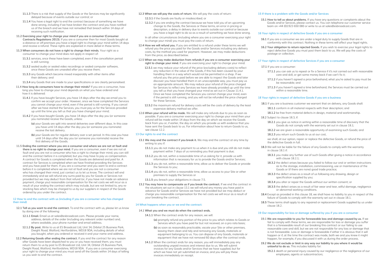- **11.1.3** There is a risk that supply of the Goods or the Services may be significantly delayed because of events outside our control; or
- 11.1.4 You have a legal right to end the contract because of something we have done wrong, including if we have broken the contract and you have notified us of the breach and we have not remedied that breach within 14 days of receiving such notification.
- **11.2 Exercising your right to change your mind if you are a consumer (Consumer Contracts Regulations 2013).** If you are a consumer then for most Goods bought at a distance or off-premises you have a legal right to change your mind within 14 days and receive a refund. These rights are explained in more detail in these terms.
- **11.3 When consumers do not have a right to change their minds.** Your right as a consumer to change your mind does not apply in respect of:
	- **11.3.1** services, once these have been completed, even if the cancellation period is still running;
	- **11.3.2** sealed audio or sealed video recordings or sealed computer software, once these Goods are unsealed after you receive them;
	- **11.3.3** any Goods which become mixed inseparably with other items after their delivery; and
	- **11.3.4** any Goods that are made to your specifications or are clearly personalised.
- 11.4 **How long do consumers have to change their minds?** If you are a consumer, how long you have to change your mind depends on what you have ordered and how it is delivered:
	- **11.4.1** If you have bought Services, you have 14 days after the day we email you to confirm we accept your order. However, once we have completed the Services you cannot change your mind, even if the period is still running. If you cancel after we have started the Services, you must pay us for the Services provided up until the time you tell us that you have changed your mind;
	- **11.4.2** If you have bought Goods, you have 14 days after the day you (or someone you nominate) receive the Goods, unless:
		- **(a)** your Goods are split into several deliveries over different days. In this case you have until 14 days after the day you (or someone you nominate) receive the last delivery.
		- **(b)** your Goods are for regular delivery over a set period. In this case you have until 14 days after the day you (or someone you nominate) receive the first delivery of the Goods.
- 11.5 **Ending the contract where you are a consumer and where we are not at fault and there is no right to change your mind.** If you are a consumer, even if we are not at fault and you are not a consumer who has a right to change their mind, you can still end the contract before it is completed, but you may have to pay us compensation. A contract for Goods is completed when the Goods are delivered and paid for. A contract for Services is completed when we have finished providing the Services and you have paid for them. If you are a consumer and you want to end a contract before it is completed where we are not at fault and you are not a consumer who has changed their mind, just contact us to let us know. The contract will end immediately and we will refund any sums paid by you for Goods or Services not provided but we may deduct from that refund (or, if you have not made an advance payment, charge you) reasonable compensation for the net costs we will incur as a result of your ending the contract which may include, but are not limited to, any restocking fees which may be charged to us by our suppliers in respect of the Goods ordered by you under the contract.

## **12 How to end the contract with us (including if you are a consumer who has changed their mind)**

- **12.1 Tell us you want to end the contract.** To end the contract with us, please let us know by doing one of the following:
	- **12.1.1 Email.** Email us at sales@esbroadcast.com. Please provide your name, address, details of the order (including any relevant order number) and, where available, your phone number and email address.
	- **12.1.2 By post.** Write to us at ES Broadcast Ltd, Unit 34, Orbital 25 Business Park, Dwight Road, Watford, Hertfordshire, WD18 9DA, including details of what you bought, when you ordered or received it and your name and address.
- **12.2 Returning Goods after ending the contract.** If you end the contract for any reason after Goods have been dispatched to you or you have received them, you must return them to us by post to ES Broadcast Ltd, Unit 34, Orbital 25 Business Park, Dwight Road, Watford, Hertfordshire, WD18 9DA. If you are a consumer exercising your right to change your mind you must send off the Goods within 14 days of telling us you wish to end the contract.

#### **12.3 When we will pay the costs of return.** We will pay the costs of return:

**12.3.1** if the Goods are faulty or misdescribed; or

**12.3.2** if you are ending the contract because we have told you of an upcoming change to the Goods, the Services or these terms, an error in pricing or description, a delay in delivery due to events outside our control or because you have a legal right to do so as a result of something we have done wrong.

In all other circumstances (including where you are a consumer exercising your right to change your mind) you must pay the costs of return.

- **12.4 How we will refund you.** If you are entitled to a refund under these terms we will refund you the price you paid for the Goods and/or Services including any delivery costs, by the method you used for payment. However, we may make deductions from the price, as described below.
- 12.5 **When we may make deduction from refunds if you are a consumer exercising your right to change your mind.** If you are exercising your right to change your mind:
	- **12.5.1** we may reduce your refund of the price (excluding delivery costs) to reflect any reduction in the value of the Goods, if this has been caused by your handling them in a way which would not be permitted in a shop. If we refund you the price paid before we are able to inspect the Goods and later discover you have handled them in an unacceptable way, you must pay us an appropriate amount. We may reduce your refund of the price charged for Services to reflect any Services we have already provided up until the time you tell us that you have changed your mind as set out in Clause 11.4.1. Once we have completed the Services you cannot change your mind, even if the period is still running, and you will not be refunded the price charged for these Services.
	- **12.5.2** the maximum refund for delivery costs will be the costs of delivery by the least expensive delivery method we offer.
- 12.6 **When your refund will be made.** We will make any refunds due to you as soon as possible. If you are a consumer exercising your right to change your mind then your refund will be made within 14 days from the day on which we receive the Goods back from you or, if earlier, the day on which you provide us with evidence that you have sent the Goods back to us. For information about how to return Goods to us, see clause 12.2.

## **13 Our rights to end the contract**

- **13.1 We may end the contract if you break it.** We may end the contract at any time by writing to you if:
	- **13.1.1** you do not make any payment to us when it is due and you still do not make payment within 7 days of us reminding you that payment is due;
	- **13.1.2** you do not, within a reasonable time of us asking for it, provide us with information that is necessary for us to provide the Goods and/or Services;
	- **13.1.3** you do not, within a reasonable time, allow us to deliver the Goods or provide the Services to you;
	- **13.1.4** you do not, within a reasonable time, allow us access to your Site or other premises to supply the Services or
	- **13.1.5** you breach your obligations in clause 7.5.
- **13.2 You may have to compensate us if you break the contract.** If we end the contract in the situations set out in clause 13.1 we will refund any money you have paid in advance for Goods and/or Services we have not provided but we may deduct or charge you reasonable compensation for the net costs we will incur as a result of your breaking the contract.

#### **14 What happens when you or we end the contract:**

## 14.1 **What you and we must do when the contract ends.**

**14.1.1** When the contract ends for any reason, we will:

- **(a)** promptly refund any portion of the price to you which relates to Goods or Services which you have paid for but not received, on a pro rata basis;
- **(b)** as soon as reasonably practicable, vacate your Site or other premises, leaving them clean and tidy and removing any Goods, materials or equipment belonging to us. You can dispose of any Goods, materials or equipment that we have not removed 60 days after the contract ends.
- **14.1.2** When the contract ends for any reason, you will immediately pay any outstanding unpaid invoices and interest due to us. We will submit invoices for any Goods and/or Services that we have supplied, but for which we have not yet submitted an invoice, and you will pay these invoices immediately on receipt.

## **15 If there is a problem with the Goods and/or Services**

**15.1 How to tell us about problems.** If you have any questions or complaints about the Goods and/or Services, please contact us. You can telephone our customer service team on +44 (0)1923 650 080 or write to us at sales@esbroadcast.com.

## **16 Your rights in respect of defective Goods if you are a consumer**

- **16.1** If you are a consumer we are under a legal duty to supply Goods that are in conformity with this contract. Nothing in these terms will affect your legal rights.
- **16.2 Your obligation to return rejected Goods.** If you wish to exercise your legal rights to reject defective Goods you must post them back to us. We will pay the costs of postage or collection.

#### **17 Your rights in respect of defective Services if you are a consumer**

**17.1** If you are a consumer:

- **17.1.1** you can ask us to repeat or fix a Service if it's not carried out with reasonable care and skill, or get some money back if we can't fix it;
- **17.1.2** if you haven't agreed a price beforehand, what you're asked to pay must be be reasonable; and
- **17.1.3** if you haven't agreed a time beforehand, the Services must be carried out within a reasonable time.

# **18 Your rights in respect of defective Goods if you are a business**

- **18.1** If you are a business customer we warrant that on delivery, any Goods shall:
	- **18.1.1** conform in all material respects with their description; and
	- **18.1.2** be free from material defects in design, material and workmanship.
- 18.2 Subject to clause 18.3, if:

**18.2.1** you give us notice in writing within a reasonable time of discovery that the Goods do not comply with the warranty set out in clause 18.1;

- **18.2.2** we are given a reasonable opportunity of examining such Goods; and
- **18.2.3** you return such Goods to us at our cost,

we shall, at our option, repair or replace the defective Goods, or refund the price of the defective Goods in full.

- **18.3** We will not be liable for the failure of any Goods to comply with the warranty in clause 18.1 if:
	- **18.3.1** you make any further use of such Goods after giving a notice in accordance with clause  $18.2.1$ ;
	- **18.3.2** the defect arises because you failed to follow our oral or written instructions as to the storage, installation, commissioning, use or maintenance of the Goods or (if there are none) good trade practice;
	- **18.3.3** the defect arises as a result of us following any drawing, design or specification supplied by you;
	- **18.3.4** you alter or repair the Goods without our written consent; or
	- **18.3.5** the defect arises as a result of fair wear and tear, wilful damage, negligence or abnormal working conditions.
- **18.4** Except as provided in this clause 18, we shall have no liability to you in respect of the failure of Goods to comply with the warranty set out in clause 18.1.
- **18.5** These terms shall apply to any repaired or replacement Goods supplied by us under clause 18.2.

## **19 Our responsibility for loss or damage suffered by you if you are a consumer**

- **1**9.1 **We are responsible to you for foreseeable loss and damage caused by us.** If we fail to comply with these terms, we are responsible for loss or damage you suffer that is a foreseeable result of our breaking this contract or our failing to use reasonable care and skill, but we are not responsible for any loss or damage that is not foreseeable. Loss or damage is foreseeable if either it is obvious that it will happen or if, at the time the contract was made, both we and you knew it might happen, for example, if you discussed it with us during the order process.
- **19.2 We do not exclude or limit in any way our liability to you where it would be unlawful to do so.** This includes liability for:
	- **19.2.1** death or personal injury caused by our negligence or the negligence of our employees, agents or subcontractors;